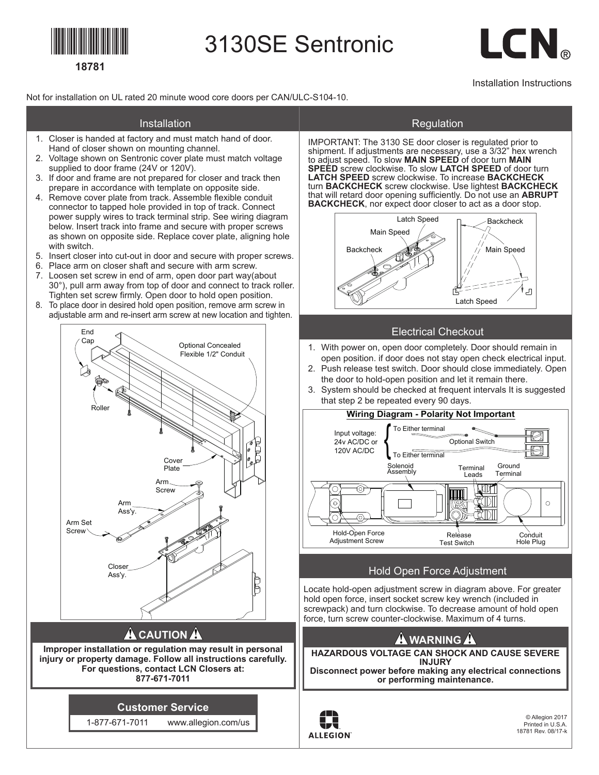

## 3130SE Sentronic

# LCN.

Installation Instructions

Not for installation on UL rated 20 minute wood core doors per CAN/ULC-S104-10.

#### **Installation**

- 1. Closer is handed at factory and must match hand of door. Hand of closer shown on mounting channel.
- 2. Voltage shown on Sentronic cover plate must match voltage supplied to door frame (24V or 120V).
- 3. If door and frame are not prepared for closer and track then prepare in accordance with template on opposite side.
- 4. Remove cover plate from track. Assemble flexible conduit connector to tapped hole provided in top of track. Connect power supply wires to track terminal strip. See wiring diagram below. Insert track into frame and secure with proper screws as shown on opposite side. Replace cover plate, aligning hole with switch. Backcheck
- 5. Insert closer into cut-out in door and secure with proper screws.
- 6. Place arm on closer shaft and secure with arm screw.
- 7. Loosen set screw in end of arm, open door part way(about 30°), pull arm away from top of door and connect to track roller. Tighten set screw firmly. Open door to hold open position.
- 8. To place door in desired hold open position, remove arm screw in adjustable arm and re-insert arm screw at new location and tighten.



**injury or property damage. Follow all instructions carefully. For questions, contact LCN Closers at: 877-671-7011**

**Customer Service**

1-877-671-7011 www.allegion.com/us

#### Regulation

IMPORTANT: The 3130 SE door closer is regulated prior to shipment. If adjustments are necessary, use a 3/32" hex wrench to adjust speed. To slow **MAIN SPEED** of door turn **MAIN SPEED** screw clockwise. To slow **LATCH SPEED** of door turn **LATCH SPEED** screw clockwise. To increase **BACKCHECK** turn **BACKCHECK** screw clockwise. Use lightest **BACKCHECK** that will retard door opening sufficiently. Do not use an ABRUPT **BACKCHECK**, nor expect door closer to act as a door stop.



#### Electrical Checkout

- 1. With power on, open door completely. Door should remain in open position. if door does not stay open check electrical input.
- 2. Push release test switch. Door should close immediately. Open the door to hold-open position and let it remain there.
- 3. System should be checked at frequent intervals It is suggested that step 2 be repeated every 90 days.



#### Hold Open Force Adjustment

Locate hold-open adjustment screw in diagram above. For greater hold open force, insert socket screw key wrench (included in screwpack) and turn clockwise. To decrease amount of hold open force, turn screw counter-clockwise. Maximum of 4 turns.

### **A** WARNING A

**HAZARDOUS VOLTAGE CAN SHOCK AND CAUSE SEVERE INJURY Disconnect power before making any electrical connections or performing maintenance.**



© Allegion 2017 Printed in U.S.A. 18781 Rev. 08/17-k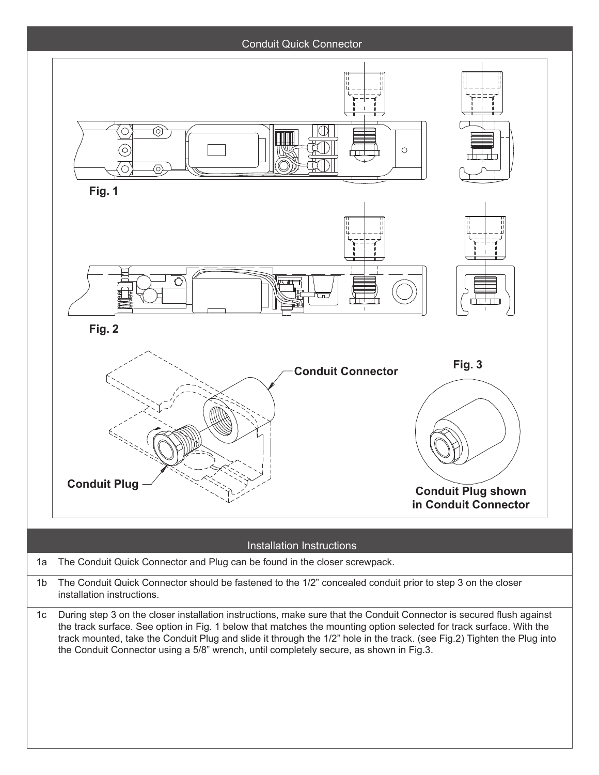